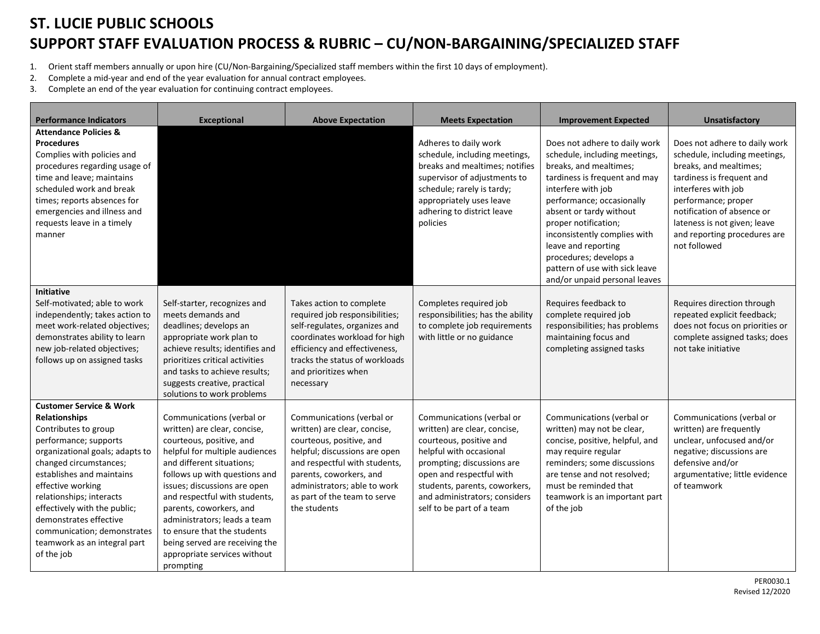## **ST. LUCIE PUBLIC SCHOOLS SUPPORT STAFF EVALUATION PROCESS & RUBRIC – CU/NON-BARGAINING/SPECIALIZED STAFF**

- 1. Orient staff members annually or upon hire (CU/Non-Bargaining/Specialized staff members within the first 10 days of employment).
- 2. Complete a mid-year and end of the year evaluation for annual contract employees.
- 3. Complete an end of the year evaluation for continuing contract employees.

| <b>Performance Indicators</b>                                                                                                                                                                                                                                                                                                                                                                 | <b>Exceptional</b>                                                                                                                                                                                                                                                                                                                                                                                                              | <b>Above Expectation</b>                                                                                                                                                                                                                                           | <b>Meets Expectation</b>                                                                                                                                                                                                                                                 | <b>Improvement Expected</b>                                                                                                                                                                                                                                                                                                                                                         | <b>Unsatisfactory</b>                                                                                                                                                                                                                                                             |
|-----------------------------------------------------------------------------------------------------------------------------------------------------------------------------------------------------------------------------------------------------------------------------------------------------------------------------------------------------------------------------------------------|---------------------------------------------------------------------------------------------------------------------------------------------------------------------------------------------------------------------------------------------------------------------------------------------------------------------------------------------------------------------------------------------------------------------------------|--------------------------------------------------------------------------------------------------------------------------------------------------------------------------------------------------------------------------------------------------------------------|--------------------------------------------------------------------------------------------------------------------------------------------------------------------------------------------------------------------------------------------------------------------------|-------------------------------------------------------------------------------------------------------------------------------------------------------------------------------------------------------------------------------------------------------------------------------------------------------------------------------------------------------------------------------------|-----------------------------------------------------------------------------------------------------------------------------------------------------------------------------------------------------------------------------------------------------------------------------------|
| <b>Attendance Policies &amp;</b><br><b>Procedures</b><br>Complies with policies and<br>procedures regarding usage of<br>time and leave; maintains<br>scheduled work and break<br>times; reports absences for<br>emergencies and illness and<br>requests leave in a timely<br>manner                                                                                                           |                                                                                                                                                                                                                                                                                                                                                                                                                                 |                                                                                                                                                                                                                                                                    | Adheres to daily work<br>schedule, including meetings,<br>breaks and mealtimes; notifies<br>supervisor of adjustments to<br>schedule; rarely is tardy;<br>appropriately uses leave<br>adhering to district leave<br>policies                                             | Does not adhere to daily work<br>schedule, including meetings,<br>breaks, and mealtimes;<br>tardiness is frequent and may<br>interfere with job<br>performance; occasionally<br>absent or tardy without<br>proper notification;<br>inconsistently complies with<br>leave and reporting<br>procedures; develops a<br>pattern of use with sick leave<br>and/or unpaid personal leaves | Does not adhere to daily work<br>schedule, including meetings,<br>breaks, and mealtimes;<br>tardiness is frequent and<br>interferes with job<br>performance; proper<br>notification of absence or<br>lateness is not given; leave<br>and reporting procedures are<br>not followed |
| <b>Initiative</b><br>Self-motivated; able to work<br>independently; takes action to<br>meet work-related objectives;<br>demonstrates ability to learn<br>new job-related objectives;<br>follows up on assigned tasks                                                                                                                                                                          | Self-starter, recognizes and<br>meets demands and<br>deadlines; develops an<br>appropriate work plan to<br>achieve results; identifies and<br>prioritizes critical activities<br>and tasks to achieve results;<br>suggests creative, practical<br>solutions to work problems                                                                                                                                                    | Takes action to complete<br>required job responsibilities;<br>self-regulates, organizes and<br>coordinates workload for high<br>efficiency and effectiveness,<br>tracks the status of workloads<br>and prioritizes when<br>necessary                               | Completes required job<br>responsibilities; has the ability<br>to complete job requirements<br>with little or no guidance                                                                                                                                                | Requires feedback to<br>complete required job<br>responsibilities; has problems<br>maintaining focus and<br>completing assigned tasks                                                                                                                                                                                                                                               | Requires direction through<br>repeated explicit feedback;<br>does not focus on priorities or<br>complete assigned tasks; does<br>not take initiative                                                                                                                              |
| <b>Customer Service &amp; Work</b><br><b>Relationships</b><br>Contributes to group<br>performance; supports<br>organizational goals; adapts to<br>changed circumstances;<br>establishes and maintains<br>effective working<br>relationships; interacts<br>effectively with the public;<br>demonstrates effective<br>communication; demonstrates<br>teamwork as an integral part<br>of the job | Communications (verbal or<br>written) are clear, concise,<br>courteous, positive, and<br>helpful for multiple audiences<br>and different situations:<br>follows up with questions and<br>issues; discussions are open<br>and respectful with students,<br>parents, coworkers, and<br>administrators; leads a team<br>to ensure that the students<br>being served are receiving the<br>appropriate services without<br>prompting | Communications (verbal or<br>written) are clear, concise,<br>courteous, positive, and<br>helpful; discussions are open<br>and respectful with students,<br>parents, coworkers, and<br>administrators; able to work<br>as part of the team to serve<br>the students | Communications (verbal or<br>written) are clear, concise,<br>courteous, positive and<br>helpful with occasional<br>prompting; discussions are<br>open and respectful with<br>students, parents, coworkers,<br>and administrators; considers<br>self to be part of a team | Communications (verbal or<br>written) may not be clear,<br>concise, positive, helpful, and<br>may require regular<br>reminders; some discussions<br>are tense and not resolved;<br>must be reminded that<br>teamwork is an important part<br>of the job                                                                                                                             | Communications (verbal or<br>written) are frequently<br>unclear, unfocused and/or<br>negative; discussions are<br>defensive and/or<br>argumentative; little evidence<br>of teamwork                                                                                               |